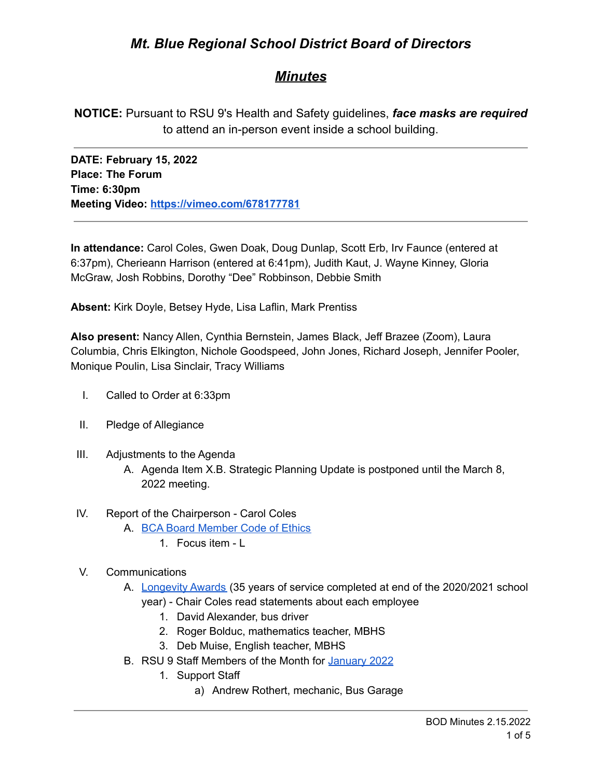# *Mt. Blue Regional School District Board of Directors*

## *Minutes*

**NOTICE:** Pursuant to RSU 9's Health and Safety guidelines, *face masks are required* to attend an in-person event inside a school building.

**DATE: February 15, 2022 Place: The Forum Time: 6:30pm Meeting Video: <https://vimeo.com/678177781>**

**In attendance:** Carol Coles, Gwen Doak, Doug Dunlap, Scott Erb, Irv Faunce (entered at 6:37pm), Cherieann Harrison (entered at 6:41pm), Judith Kaut, J. Wayne Kinney, Gloria McGraw, Josh Robbins, Dorothy "Dee" Robbinson, Debbie Smith

**Absent:** Kirk Doyle, Betsey Hyde, Lisa Laflin, Mark Prentiss

**Also present:** Nancy Allen, Cynthia Bernstein, James Black, Jeff Brazee (Zoom), Laura Columbia, Chris Elkington, Nichole Goodspeed, John Jones, Richard Joseph, Jennifer Pooler, Monique Poulin, Lisa Sinclair, Tracy Williams

- I. Called to Order at 6:33pm
- II. Pledge of Allegiance
- III. Adjustments to the Agenda
	- A. Agenda Item X.B. Strategic Planning Update is postponed until the March 8, 2022 meeting.
- IV. Report of the Chairperson Carol Coles
	- A. BCA Board [Member](https://cdn.branchcms.com/yeQ4XpK43n-1155/docs/district/board-of-directors/policy-manual/section-b/BCA-Board-Member-Code-of-Ethics.pdf) Code of Ethics
		- 1. Focus item L
- V. Communications
	- A. [Longevity](https://drive.google.com/file/d/1tqyaZlsNgS1pyoLM04NtoPXf72q36j2L/view?usp=sharing) Awards (35 years of service completed at end of the 2020/2021 school
		- year) Chair Coles read statements about each employee
			- 1. David Alexander, bus driver
			- 2. Roger Bolduc, mathematics teacher, MBHS
			- 3. Deb Muise, English teacher, MBHS
	- B. RSU 9 Staff Members of the Month for [January](https://drive.google.com/file/d/1wKFXUlLRTPAVCWeQAMfDHJocIrkmuQdc/view?usp=sharing) 2022
		- 1. Support Staff
			- a) Andrew Rothert, mechanic, Bus Garage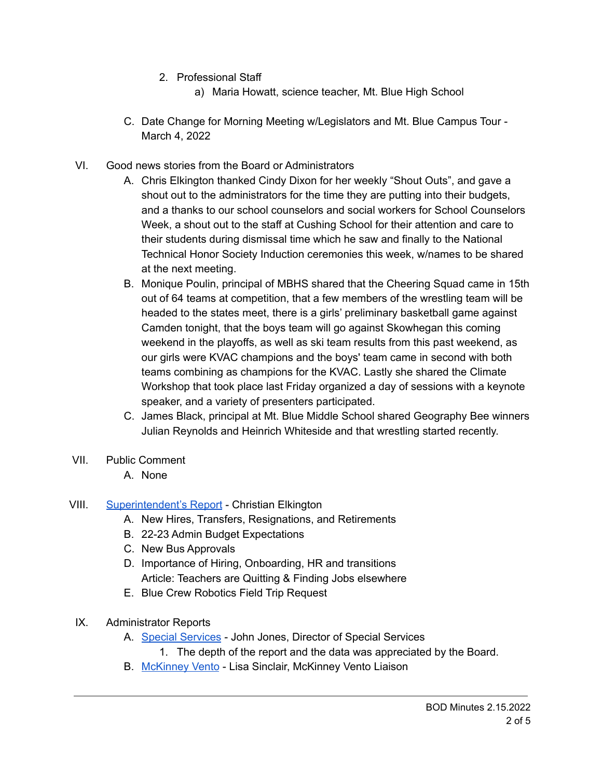- 2. Professional Staff
	- a) Maria Howatt, science teacher, Mt. Blue High School
- C. Date Change for Morning Meeting w/Legislators and Mt. Blue Campus Tour March 4, 2022
- VI. Good news stories from the Board or Administrators
	- A. Chris Elkington thanked Cindy Dixon for her weekly "Shout Outs", and gave a shout out to the administrators for the time they are putting into their budgets, and a thanks to our school counselors and social workers for School Counselors Week, a shout out to the staff at Cushing School for their attention and care to their students during dismissal time which he saw and finally to the National Technical Honor Society Induction ceremonies this week, w/names to be shared at the next meeting.
	- B. Monique Poulin, principal of MBHS shared that the Cheering Squad came in 15th out of 64 teams at competition, that a few members of the wrestling team will be headed to the states meet, there is a girls' preliminary basketball game against Camden tonight, that the boys team will go against Skowhegan this coming weekend in the playoffs, as well as ski team results from this past weekend, as our girls were KVAC champions and the boys' team came in second with both teams combining as champions for the KVAC. Lastly she shared the Climate Workshop that took place last Friday organized a day of sessions with a keynote speaker, and a variety of presenters participated.
	- C. James Black, principal at Mt. Blue Middle School shared Geography Bee winners Julian Reynolds and Heinrich Whiteside and that wrestling started recently.
- VII. Public Comment
	- A. None
- VIII. [Superintendent's](https://drive.google.com/file/d/1ScGpymz7eHwRUPt8gwyMkPZFJJs99hGu/view?usp=sharing4zC_6Mo1u0iLpLxU/edit?usp=sharing) Report Christian Elkington
	- A. New Hires, Transfers, Resignations, and Retirements
	- B. 22-23 Admin Budget Expectations
	- C. New Bus Approvals
	- D. Importance of Hiring, Onboarding, HR and transitions Article: Teachers are Quitting & Finding Jobs elsewhere
	- E. Blue Crew Robotics Field Trip Request
	- IX. Administrator Reports
		- A. Special [Services](https://drive.google.com/file/d/1PDBFKGCGX_7iPXHa_Jn9Z-N8fPIHomdH/view?usp=sharing) John Jones, Director of Special Services
			- 1. The depth of the report and the data was appreciated by the Board.
		- B. [McKinney](https://drive.google.com/file/d/1cDLHXtmbEuei9wgRJPgwXgb4XjniTLF0/view?usp=sharing) Vento Lisa Sinclair, McKinney Vento Liaison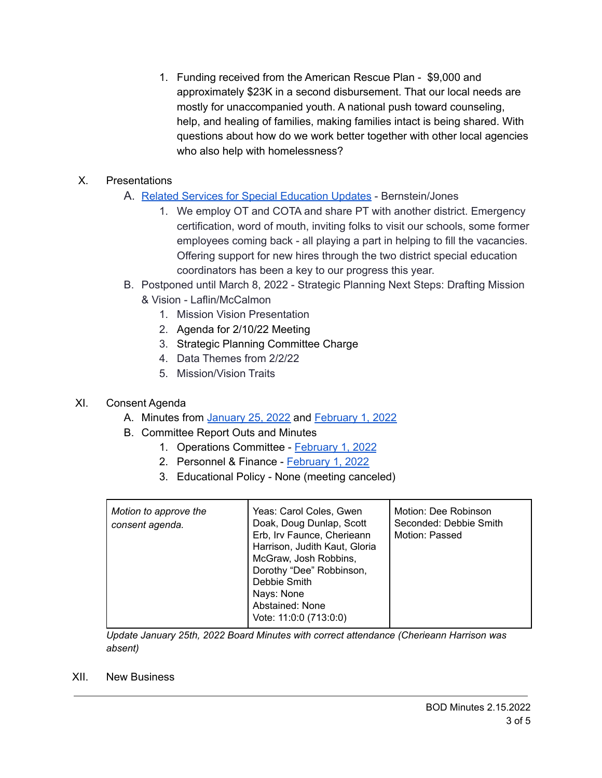1. Funding received from the American Rescue Plan - \$9,000 and approximately \$23K in a second disbursement. That our local needs are mostly for unaccompanied youth. A national push toward counseling, help, and healing of families, making families intact is being shared. With questions about how do we work better together with other local agencies who also help with homelessness?

### X. Presentations

- A. Related Services for Special [Education](https://drive.google.com/file/d/1kEx80V-YPPSG7ehFYljoht1wgTzgQ0lG/view?usp=sharing) Updates Bernstein/Jones
	- 1. We employ OT and COTA and share PT with another district. Emergency certification, word of mouth, inviting folks to visit our schools, some former employees coming back - all playing a part in helping to fill the vacancies. Offering support for new hires through the two district special education coordinators has been a key to our progress this year.
- B. Postponed until March 8, 2022 Strategic Planning Next Steps: Drafting Mission & Vision - Laflin/McCalmon
	- 1. Mission Vision Presentation
	- 2. Agenda for 2/10/22 Meeting
	- 3. Strategic Planning Committee Charge
	- 4. Data Themes from 2/2/22
	- 5. Mission/Vision Traits

## XI. Consent Agenda

- A. Minutes from [January](https://drive.google.com/file/d/15vtLEOgZxsjZDKaFzO1b8HOmLi70hjul/view?usp=sharing) 25, 2022 and [February](https://drive.google.com/file/d/1pKBKHfL-frAJ9BlOd_X2FSVz9OvtsgPH/view?usp=sharing) 1, 2022
- B. Committee Report Outs and Minutes
	- 1. Operations Committee [February](https://drive.google.com/file/d/18Eqfptc6TYR4pj6dXQgPiR43tENGUEg-/view?usp=sharing) 1, 2022
	- 2. Personnel & Finance [February](https://drive.google.com/file/d/1Tifg1kin55X9mfWvjUxEkhNrYJJNBfQz/view?usp=sharing) 1, 2022
	- 3. Educational Policy None (meeting canceled)

| Motion to approve the<br>consent agenda. | Yeas: Carol Coles, Gwen<br>Doak, Doug Dunlap, Scott<br>Erb, Irv Faunce, Cherieann<br>Harrison, Judith Kaut, Gloria<br>McGraw, Josh Robbins,<br>Dorothy "Dee" Robbinson,<br>Debbie Smith<br>Nays: None<br>Abstained: None<br>Vote: 11:0:0 (713:0:0) | Motion: Dee Robinson<br>Seconded: Debbie Smith<br>Motion: Passed |
|------------------------------------------|----------------------------------------------------------------------------------------------------------------------------------------------------------------------------------------------------------------------------------------------------|------------------------------------------------------------------|
|------------------------------------------|----------------------------------------------------------------------------------------------------------------------------------------------------------------------------------------------------------------------------------------------------|------------------------------------------------------------------|

*Update January 25th, 2022 Board Minutes with correct attendance (Cherieann Harrison was absent)*

XII. New Business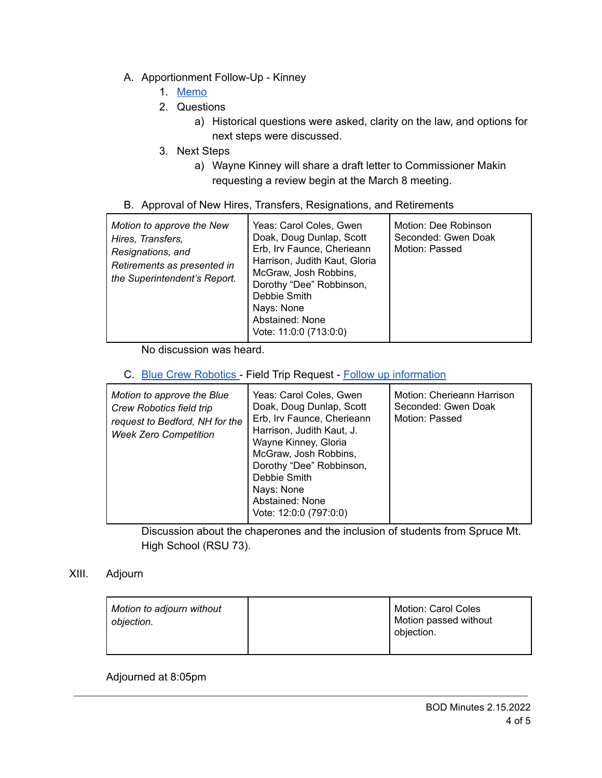- A. Apportionment Follow-Up Kinney
	- 1. [Memo](https://drive.google.com/file/d/1HfE8SFhbkjZXALvw6PBovQnLJPr06LZg/view?usp=sharing)
	- 2. Questions
		- a) Historical questions were asked, clarity on the law, and options for next steps were discussed.
	- 3. Next Steps
		- a) Wayne Kinney will share a draft letter to Commissioner Makin requesting a review begin at the March 8 meeting.
- B. Approval of New Hires, Transfers, Resignations, and Retirements

| Motion to approve the New<br>Hires, Transfers,<br>Resignations, and<br>Retirements as presented in<br>the Superintendent's Report. | Yeas: Carol Coles, Gwen<br>Doak, Doug Dunlap, Scott<br>Erb, Irv Faunce, Cherieann<br>Harrison, Judith Kaut, Gloria<br>McGraw, Josh Robbins,<br>Dorothy "Dee" Robbinson,<br>Debbie Smith<br>Nays: None<br>Abstained: None<br>Vote: 11:0:0 (713:0:0) | Motion: Dee Robinson<br>Seconded: Gwen Doak<br>Motion: Passed |
|------------------------------------------------------------------------------------------------------------------------------------|----------------------------------------------------------------------------------------------------------------------------------------------------------------------------------------------------------------------------------------------------|---------------------------------------------------------------|
|------------------------------------------------------------------------------------------------------------------------------------|----------------------------------------------------------------------------------------------------------------------------------------------------------------------------------------------------------------------------------------------------|---------------------------------------------------------------|

No discussion was heard.

C. Blue Crew [Robotics](https://drive.google.com/file/d/1x8ZUy5A6e1QKBZvAb5LFpaQgOjRXZn05/view?usp=sharing) - Field Trip Request - Follow up [information](https://drive.google.com/file/d/1xBYQf56DTr7kaLY1gpqFAtA-d2PVHggj/view?usp=sharing)

| Motion to approve the Blue<br><b>Crew Robotics field trip</b><br>request to Bedford, NH for the<br><b>Week Zero Competition</b> | Yeas: Carol Coles, Gwen<br>Doak, Doug Dunlap, Scott<br>Erb, Irv Faunce, Cherieann<br>Harrison, Judith Kaut, J.<br>Wayne Kinney, Gloria<br>McGraw, Josh Robbins,<br>Dorothy "Dee" Robbinson,<br>Debbie Smith<br>Nays: None<br>Abstained: None<br>Vote: 12:0:0 (797:0:0) | Motion: Cherieann Harrison<br>Seconded: Gwen Doak<br>Motion: Passed |
|---------------------------------------------------------------------------------------------------------------------------------|------------------------------------------------------------------------------------------------------------------------------------------------------------------------------------------------------------------------------------------------------------------------|---------------------------------------------------------------------|
|---------------------------------------------------------------------------------------------------------------------------------|------------------------------------------------------------------------------------------------------------------------------------------------------------------------------------------------------------------------------------------------------------------------|---------------------------------------------------------------------|

Discussion about the chaperones and the inclusion of students from Spruce Mt. High School (RSU 73).

### XIII. Adjourn

| Motion to adjourn without<br>objection. |  | Motion: Carol Coles<br><sup>I</sup> Motion passed without<br>objection. |
|-----------------------------------------|--|-------------------------------------------------------------------------|
|-----------------------------------------|--|-------------------------------------------------------------------------|

Adjourned at 8:05pm